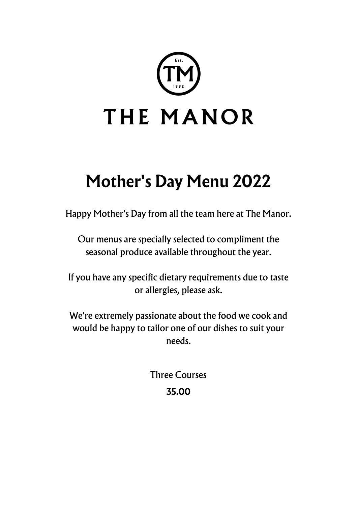

# **Mother's Day Menu 2022**

Happy Mother's Day from all the team here at The Manor.

Our menus are specially selected to compliment the seasonal produce available throughout the year.

If you have any specific dietary requirements due to taste or allergies, please ask.

We're extremely passionate about the food we cook and would be happy to tailor one of our dishes to suit your needs.

> Three Courses **35.00**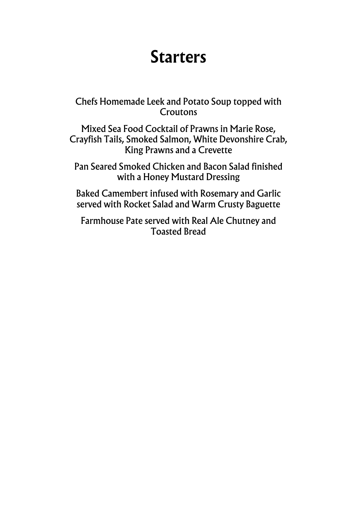### **Starters**

Chefs Homemade Leek and Potato Soup topped with **Croutons** 

Mixed Sea Food Cocktail of Prawns in Marie Rose, Crayfish Tails, Smoked Salmon, White Devonshire Crab, King Prawns and a Crevette

Pan Seared Smoked Chicken and Bacon Salad finished with a Honey Mustard Dressing

Baked Camembert infused with Rosemary and Garlic served with Rocket Salad and Warm Crusty Baguette

Farmhouse Pate served with Real Ale Chutney and Toasted Bread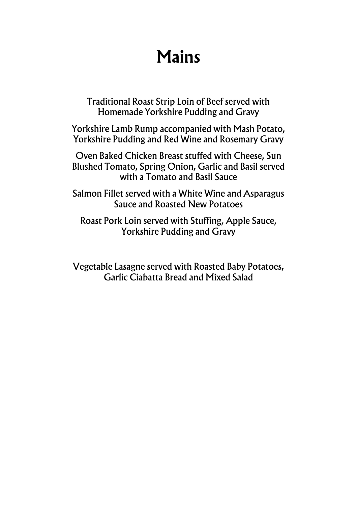### **Mains**

Traditional Roast Strip Loin of Beef served with Homemade Yorkshire Pudding and Gravy

Yorkshire Lamb Rump accompanied with Mash Potato, Yorkshire Pudding and Red Wine and Rosemary Gravy

Oven Baked Chicken Breast stuffed with Cheese, Sun Blushed Tomato, Spring Onion, Garlic and Basil served with a Tomato and Basil Sauce

Salmon Fillet served with a White Wine and Asparagus Sauce and Roasted New Potatoes

Roast Pork Loin served with Stuffing, Apple Sauce, Yorkshire Pudding and Gravy

Vegetable Lasagne served with Roasted Baby Potatoes, Garlic Ciabatta Bread and Mixed Salad